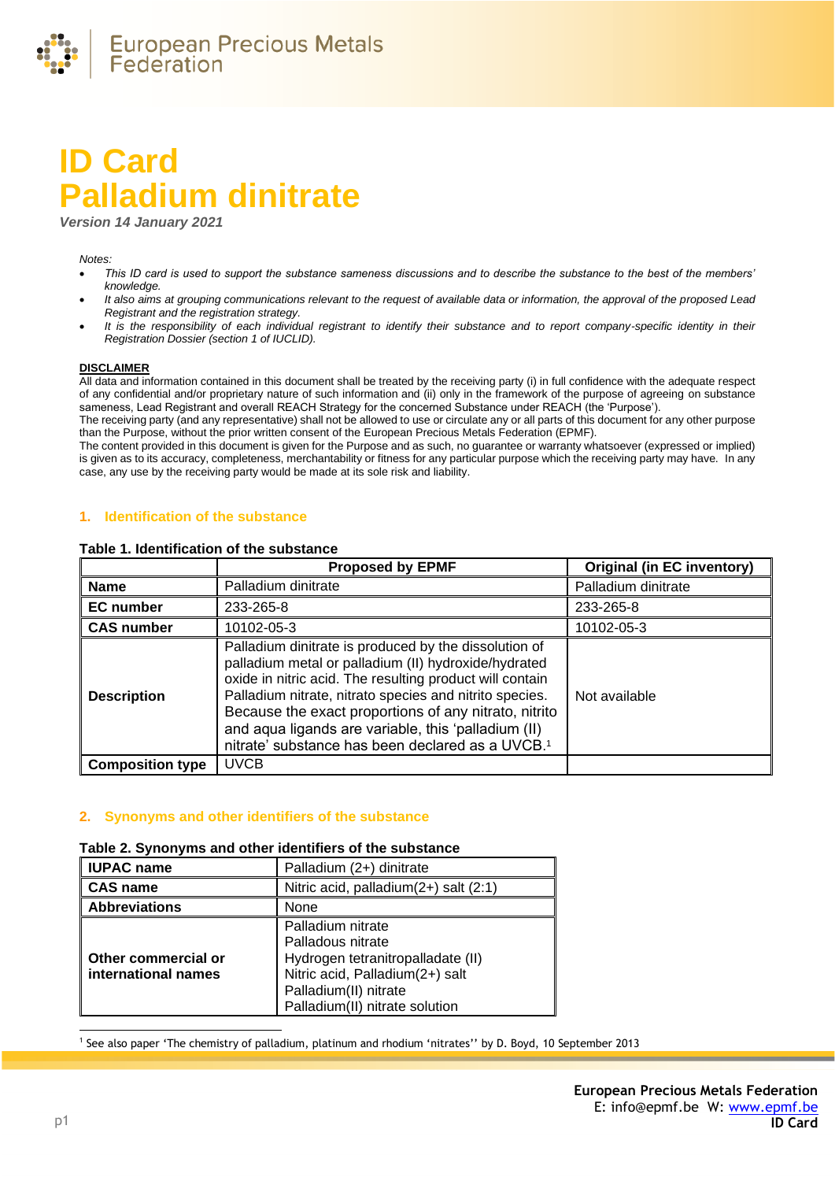

# **ID Card Palladium dinitrate**

*Version 14 January 2021*

#### *Notes:*

- *This ID card is used to support the substance sameness discussions and to describe the substance to the best of the members' knowledge.*
- *It also aims at grouping communications relevant to the request of available data or information, the approval of the proposed Lead Registrant and the registration strategy.*
- It is the responsibility of each individual registrant to identify their substance and to report company-specific identity in their *Registration Dossier (section 1 of IUCLID).*

#### **DISCLAIMER**

All data and information contained in this document shall be treated by the receiving party (i) in full confidence with the adequate respect of any confidential and/or proprietary nature of such information and (ii) only in the framework of the purpose of agreeing on substance sameness, Lead Registrant and overall REACH Strategy for the concerned Substance under REACH (the 'Purpose').

The receiving party (and any representative) shall not be allowed to use or circulate any or all parts of this document for any other purpose than the Purpose, without the prior written consent of the European Precious Metals Federation (EPMF).

The content provided in this document is given for the Purpose and as such, no guarantee or warranty whatsoever (expressed or implied) is given as to its accuracy, completeness, merchantability or fitness for any particular purpose which the receiving party may have. In any case, any use by the receiving party would be made at its sole risk and liability.

## **1. Identification of the substance**

#### **Table 1. Identification of the substance**

|                         | <b>Proposed by EPMF</b>                                                                                                                                                                                                                                                                                                                                                                                              | <b>Original (in EC inventory)</b> |
|-------------------------|----------------------------------------------------------------------------------------------------------------------------------------------------------------------------------------------------------------------------------------------------------------------------------------------------------------------------------------------------------------------------------------------------------------------|-----------------------------------|
| <b>Name</b>             | Palladium dinitrate                                                                                                                                                                                                                                                                                                                                                                                                  | Palladium dinitrate               |
| <b>EC</b> number        | 233-265-8                                                                                                                                                                                                                                                                                                                                                                                                            | 233-265-8                         |
| <b>CAS number</b>       | 10102-05-3                                                                                                                                                                                                                                                                                                                                                                                                           | 10102-05-3                        |
| <b>Description</b>      | Palladium dinitrate is produced by the dissolution of<br>palladium metal or palladium (II) hydroxide/hydrated<br>oxide in nitric acid. The resulting product will contain<br>Palladium nitrate, nitrato species and nitrito species.<br>Because the exact proportions of any nitrato, nitrito<br>and aqua ligands are variable, this 'palladium (II)<br>nitrate' substance has been declared as a UVCB. <sup>1</sup> | Not available                     |
| <b>Composition type</b> | <b>UVCB</b>                                                                                                                                                                                                                                                                                                                                                                                                          |                                   |

#### **2. Synonyms and other identifiers of the substance**

#### **Table 2. Synonyms and other identifiers of the substance**

| <b>IUPAC name</b>                          | Palladium (2+) dinitrate                                                                                                                                                  |  |
|--------------------------------------------|---------------------------------------------------------------------------------------------------------------------------------------------------------------------------|--|
| <b>CAS name</b>                            | Nitric acid, palladium(2+) salt (2:1)                                                                                                                                     |  |
| <b>Abbreviations</b>                       | None                                                                                                                                                                      |  |
| Other commercial or<br>international names | Palladium nitrate<br>Palladous nitrate<br>Hydrogen tetranitropalladate (II)<br>Nitric acid, Palladium(2+) salt<br>Palladium(II) nitrate<br>Palladium(II) nitrate solution |  |

1 See also paper 'The chemistry of palladium, platinum and rhodium 'nitrates'' by D. Boyd, 10 September 2013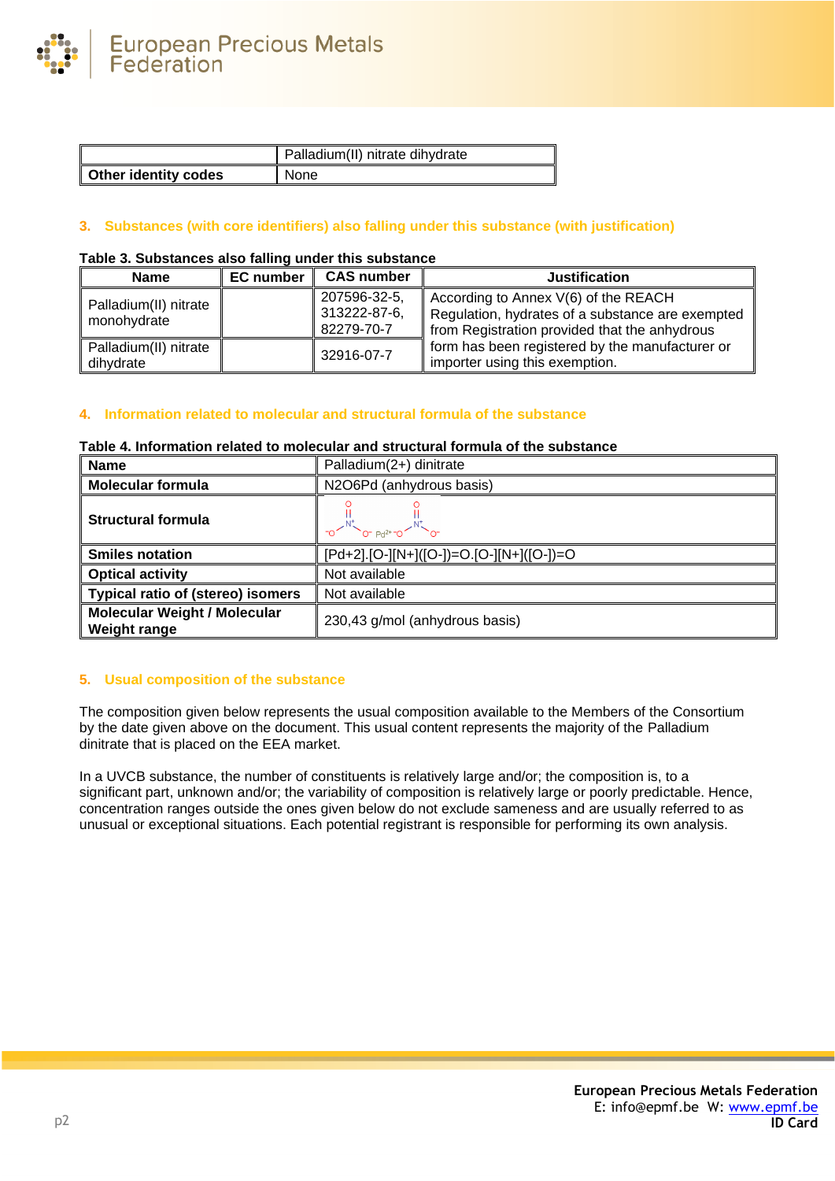

|                             | Palladium(II) nitrate dihydrate |
|-----------------------------|---------------------------------|
| <b>Other identity codes</b> | None                            |

# **3. Substances (with core identifiers) also falling under this substance (with justification)**

# **Table 3. Substances also falling under this substance**

| <b>Name</b>                          | <b>EC</b> number | <b>CAS number</b>                          | <b>Justification</b>                                                                                                                      |
|--------------------------------------|------------------|--------------------------------------------|-------------------------------------------------------------------------------------------------------------------------------------------|
| Palladium(II) nitrate<br>monohydrate |                  | 207596-32-5,<br>313222-87-6.<br>82279-70-7 | According to Annex V(6) of the REACH<br>Regulation, hydrates of a substance are exempted<br>from Registration provided that the anhydrous |
| Palladium(II) nitrate<br>dihydrate   |                  | 32916-07-7                                 | form has been registered by the manufacturer or<br>importer using this exemption.                                                         |

## **4. Information related to molecular and structural formula of the substance**

## **Table 4. Information related to molecular and structural formula of the substance**

| <b>Name</b>                                                                                  | Palladium(2+) dinitrate                  |  |
|----------------------------------------------------------------------------------------------|------------------------------------------|--|
| <b>Molecular formula</b><br>N2O6Pd (anhydrous basis)                                         |                                          |  |
| <b>Structural formula</b>                                                                    | $2^{-N}$ o- $Pd^{2+}-Q$                  |  |
| <b>Smiles notation</b>                                                                       | [Pd+2].[O-][N+]([O-])=O.[O-][N+]([O-])=O |  |
| <b>Optical activity</b><br>Not available                                                     |                                          |  |
| <b>Typical ratio of (stereo) isomers</b>                                                     | Not available                            |  |
| <b>Molecular Weight / Molecular</b><br>230,43 g/mol (anhydrous basis)<br><b>Weight range</b> |                                          |  |

## **5. Usual composition of the substance**

The composition given below represents the usual composition available to the Members of the Consortium by the date given above on the document. This usual content represents the majority of the Palladium dinitrate that is placed on the EEA market.

In a UVCB substance, the number of constituents is relatively large and/or; the composition is, to a significant part, unknown and/or; the variability of composition is relatively large or poorly predictable. Hence, concentration ranges outside the ones given below do not exclude sameness and are usually referred to as unusual or exceptional situations. Each potential registrant is responsible for performing its own analysis.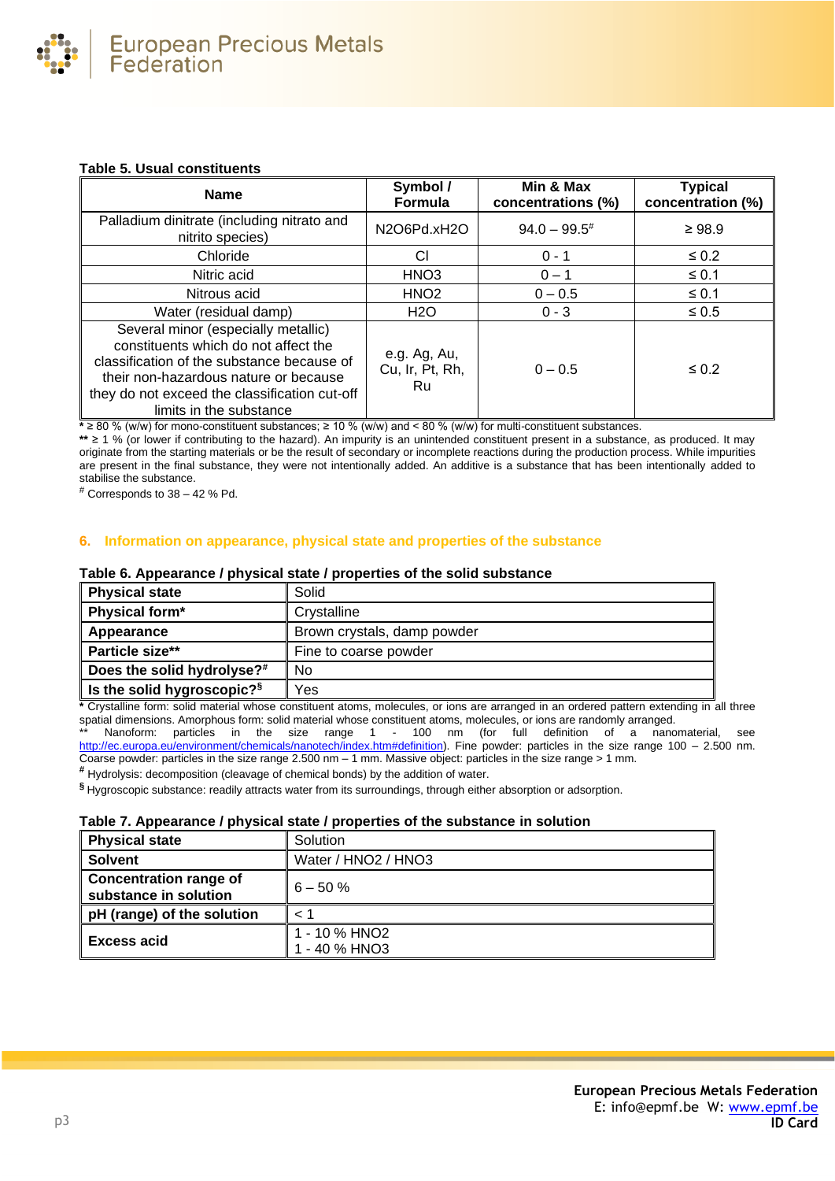## **Table 5. Usual constituents**

| <b>Name</b>                                                                                                                                                                                                                                    | Symbol/<br>Formula                    | Min & Max<br>concentrations (%) | <b>Typical</b><br>concentration (%) |
|------------------------------------------------------------------------------------------------------------------------------------------------------------------------------------------------------------------------------------------------|---------------------------------------|---------------------------------|-------------------------------------|
| Palladium dinitrate (including nitrato and<br>nitrito species)                                                                                                                                                                                 | N2O6Pd.xH2O                           | $94.0 - 99.5^{\#}$              | $\geq 98.9$                         |
| Chloride                                                                                                                                                                                                                                       | СI                                    | $0 - 1$                         | $\leq 0.2$                          |
| Nitric acid                                                                                                                                                                                                                                    | HNO <sub>3</sub>                      | $0 - 1$                         | $\leq 0.1$                          |
| Nitrous acid                                                                                                                                                                                                                                   | HNO <sub>2</sub>                      | $0 - 0.5$                       | $\leq 0.1$                          |
| Water (residual damp)                                                                                                                                                                                                                          | <b>H2O</b>                            | $0 - 3$                         | $\leq 0.5$                          |
| Several minor (especially metallic)<br>constituents which do not affect the<br>classification of the substance because of<br>their non-hazardous nature or because<br>they do not exceed the classification cut-off<br>limits in the substance | e.g. Ag, Au,<br>Cu, Ir, Pt, Rh,<br>Ru | $0 - 0.5$                       | $\leq 0.2$                          |

**\*** ≥ 80 % (w/w) for mono-constituent substances; ≥ 10 % (w/w) and < 80 % (w/w) for multi-constituent substances.

**\*\*** ≥ 1 % (or lower if contributing to the hazard). An impurity is an unintended constituent present in a substance, as produced. It may originate from the starting materials or be the result of secondary or incomplete reactions during the production process. While impurities are present in the final substance, they were not intentionally added. An additive is a substance that has been intentionally added to stabilise the substance.

 $#$  Corresponds to 38 – 42 % Pd.

## **6. Information on appearance, physical state and properties of the substance**

### **Table 6. Appearance / physical state / properties of the solid substance**

| <b>Physical state</b>                  | Solid                       |
|----------------------------------------|-----------------------------|
| Physical form*                         | Crystalline                 |
| Appearance                             | Brown crystals, damp powder |
| Particle size**                        | Fine to coarse powder       |
| Does the solid hydrolyse? <sup>#</sup> | No                          |
| Is the solid hygroscopic? <sup>§</sup> | Yes                         |

**\*** Crystalline form: solid material whose constituent atoms, molecules, or ions are arranged in an ordered pattern extending in all three spatial dimensions. Amorphous form: solid material whose constituent atoms, molecules, or ions are randomly arranged.

Nanoform: particles in the size range 1 - 100 nm (for full definition of a nanomaterial, see [http://ec.europa.eu/environment/chemicals/nanotech/index.htm#definition\)](http://ec.europa.eu/environment/chemicals/nanotech/index.htm#definition). Fine powder: particles in the size range 100 – 2.500 nm. Coarse powder: particles in the size range 2.500 nm – 1 mm. Massive object: particles in the size range > 1 mm.

**#** Hydrolysis: decomposition (cleavage of chemical bonds) by the addition of water.

**§** Hygroscopic substance: readily attracts water from its surroundings, through either absorption or adsorption.

#### **Table 7. Appearance / physical state / properties of the substance in solution**

| <b>Physical state</b>                                  | Solution                     |
|--------------------------------------------------------|------------------------------|
| <b>Solvent</b>                                         | Water / HNO2 / HNO3          |
| <b>Concentration range of</b><br>substance in solution | $6 - 50 \%$                  |
| pH (range) of the solution                             | $\leq$ $\degree$             |
| <b>Excess acid</b>                                     | 1 - 10 % HNO2<br>- 40 % HNO3 |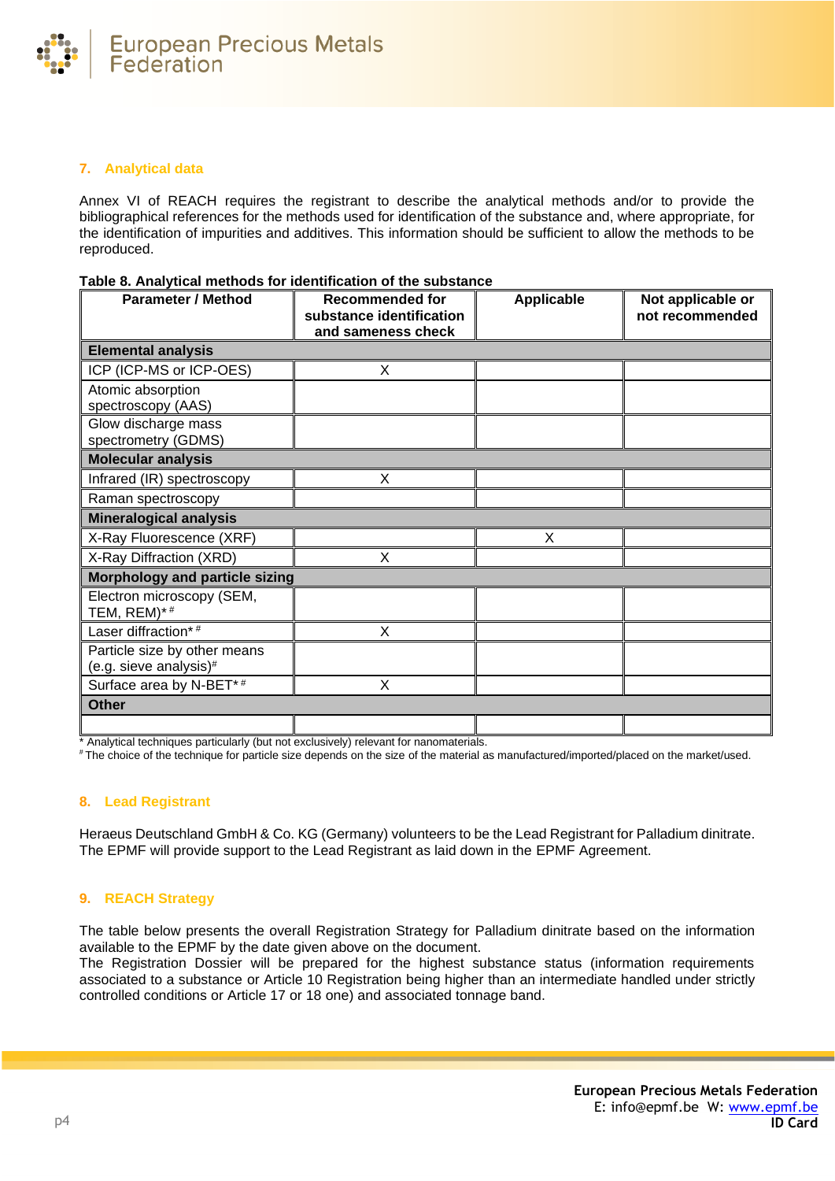

# **7. Analytical data**

Annex VI of REACH requires the registrant to describe the analytical methods and/or to provide the bibliographical references for the methods used for identification of the substance and, where appropriate, for the identification of impurities and additives. This information should be sufficient to allow the methods to be reproduced.

| Table 8. Analytical methods for identification of the substance |  |
|-----------------------------------------------------------------|--|
|-----------------------------------------------------------------|--|

| <b>Parameter / Method</b>                              | <b>Recommended for</b><br>substance identification<br>and sameness check | Applicable | Not applicable or<br>not recommended |
|--------------------------------------------------------|--------------------------------------------------------------------------|------------|--------------------------------------|
| <b>Elemental analysis</b>                              |                                                                          |            |                                      |
| ICP (ICP-MS or ICP-OES)                                | X                                                                        |            |                                      |
| Atomic absorption<br>spectroscopy (AAS)                |                                                                          |            |                                      |
| Glow discharge mass<br>spectrometry (GDMS)             |                                                                          |            |                                      |
| <b>Molecular analysis</b>                              |                                                                          |            |                                      |
| Infrared (IR) spectroscopy                             | X                                                                        |            |                                      |
| Raman spectroscopy                                     |                                                                          |            |                                      |
| <b>Mineralogical analysis</b>                          |                                                                          |            |                                      |
| X-Ray Fluorescence (XRF)                               |                                                                          | X          |                                      |
| X-Ray Diffraction (XRD)                                | X                                                                        |            |                                      |
| <b>Morphology and particle sizing</b>                  |                                                                          |            |                                      |
| Electron microscopy (SEM,<br>TEM, $REM$ )* #           |                                                                          |            |                                      |
| Laser diffraction*#                                    | X                                                                        |            |                                      |
| Particle size by other means<br>(e.g. sieve analysis)# |                                                                          |            |                                      |
| Surface area by N-BET*#                                | X                                                                        |            |                                      |
| <b>Other</b>                                           |                                                                          |            |                                      |
|                                                        |                                                                          |            |                                      |

\* Analytical techniques particularly (but not exclusively) relevant for nanomaterials.

# The choice of the technique for particle size depends on the size of the material as manufactured/imported/placed on the market/used.

# **8. Lead Registrant**

Heraeus Deutschland GmbH & Co. KG (Germany) volunteers to be the Lead Registrant for Palladium dinitrate. The EPMF will provide support to the Lead Registrant as laid down in the EPMF Agreement.

# **9. REACH Strategy**

The table below presents the overall Registration Strategy for Palladium dinitrate based on the information available to the EPMF by the date given above on the document.

The Registration Dossier will be prepared for the highest substance status (information requirements associated to a substance or Article 10 Registration being higher than an intermediate handled under strictly controlled conditions or Article 17 or 18 one) and associated tonnage band.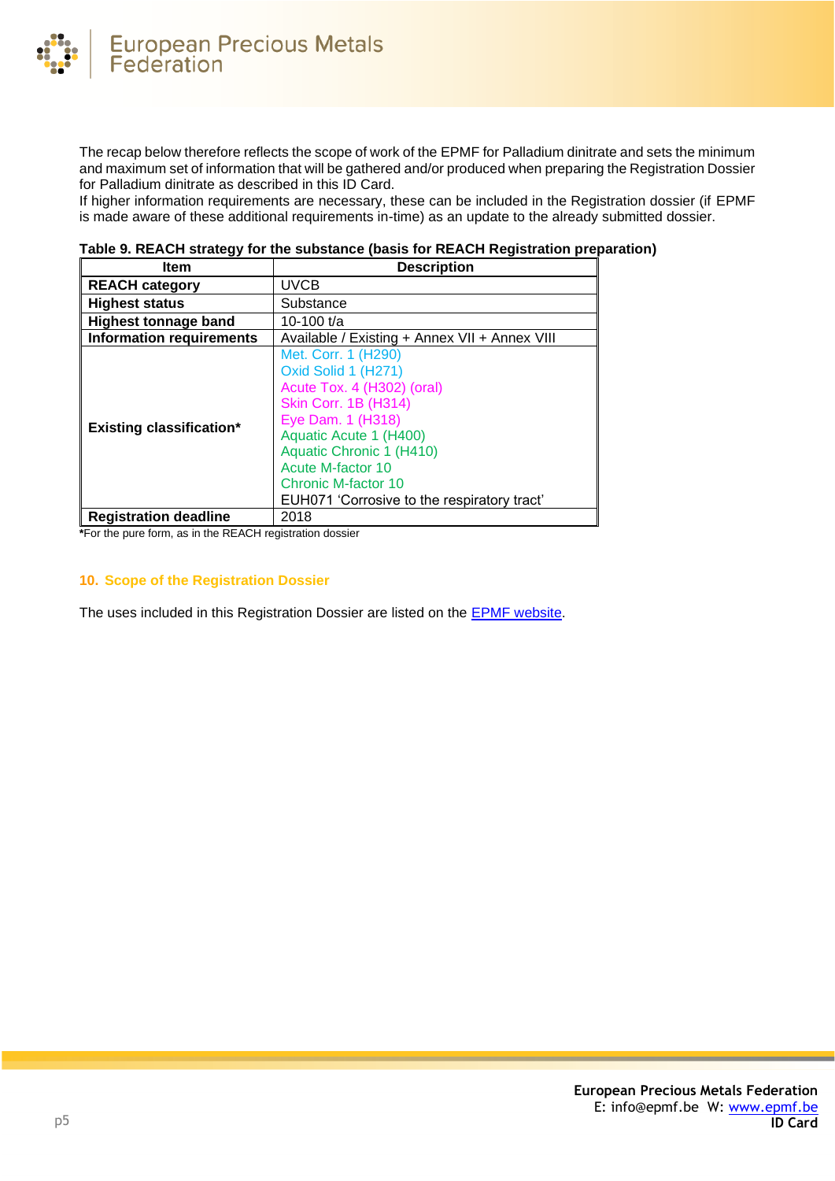

The recap below therefore reflects the scope of work of the EPMF for Palladium dinitrate and sets the minimum and maximum set of information that will be gathered and/or produced when preparing the Registration Dossier for Palladium dinitrate as described in this ID Card.

If higher information requirements are necessary, these can be included in the Registration dossier (if EPMF is made aware of these additional requirements in-time) as an update to the already submitted dossier.

| <b>Item</b>                     | <b>Description</b>                                                                                                                                                                                                                                                            |  |
|---------------------------------|-------------------------------------------------------------------------------------------------------------------------------------------------------------------------------------------------------------------------------------------------------------------------------|--|
| <b>REACH category</b>           | <b>UVCB</b>                                                                                                                                                                                                                                                                   |  |
| <b>Highest status</b>           | Substance                                                                                                                                                                                                                                                                     |  |
| <b>Highest tonnage band</b>     | 10-100 $t/a$                                                                                                                                                                                                                                                                  |  |
| <b>Information requirements</b> | Available / Existing + Annex VII + Annex VIII                                                                                                                                                                                                                                 |  |
| <b>Existing classification*</b> | Met. Corr. 1 (H290)<br>Oxid Solid 1 (H271)<br>Acute Tox. 4 (H302) (oral)<br><b>Skin Corr. 1B (H314)</b><br>Eye Dam. 1 (H318)<br>Aquatic Acute 1 (H400)<br>Aquatic Chronic 1 (H410)<br>Acute M-factor 10<br>Chronic M-factor 10<br>EUH071 'Corrosive to the respiratory tract' |  |
| <b>Registration deadline</b>    | 2018                                                                                                                                                                                                                                                                          |  |

**\***For the pure form, as in the REACH registration dossier

## **10. Scope of the Registration Dossier**

The uses included in this Registration Dossier are listed on the [EPMF website.](https://www.epmf.be/)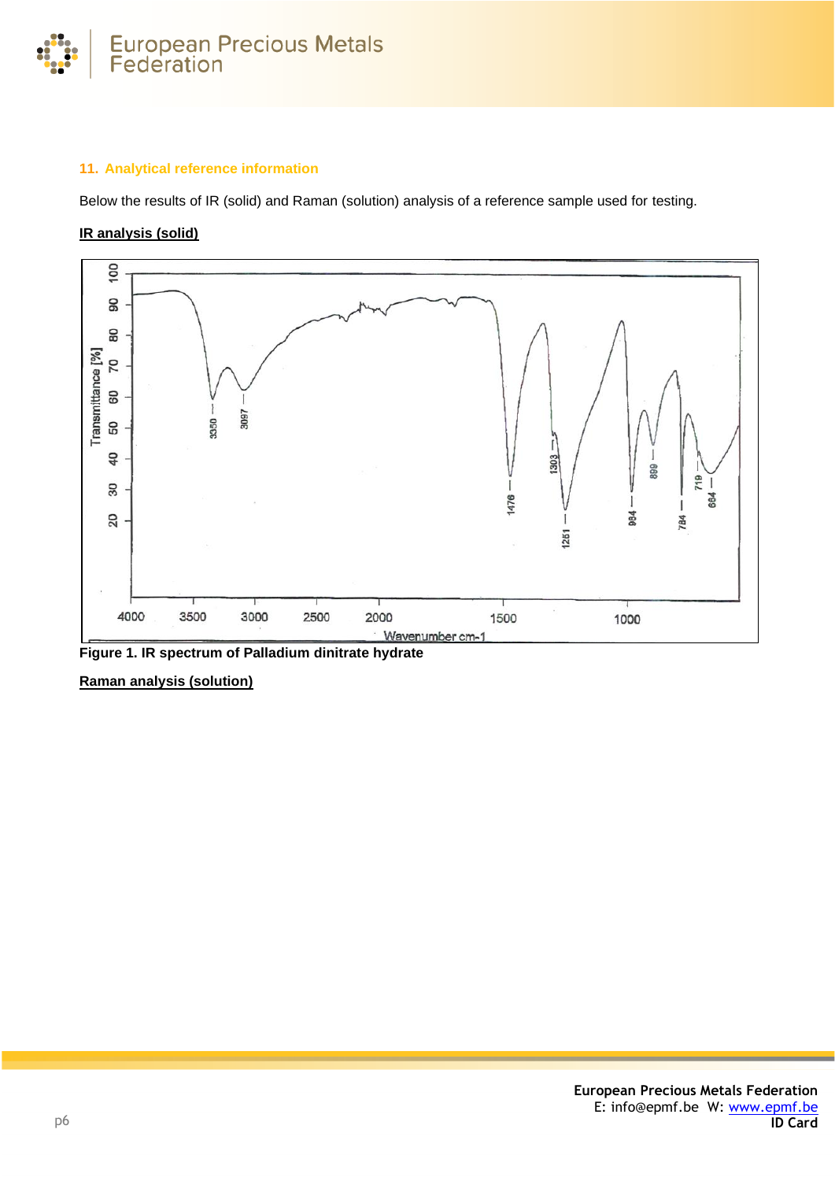

# **11. Analytical reference information**

Below the results of IR (solid) and Raman (solution) analysis of a reference sample used for testing.

# **IR analysis (solid)**



**Figure 1. IR spectrum of Palladium dinitrate hydrate**

**Raman analysis (solution)**